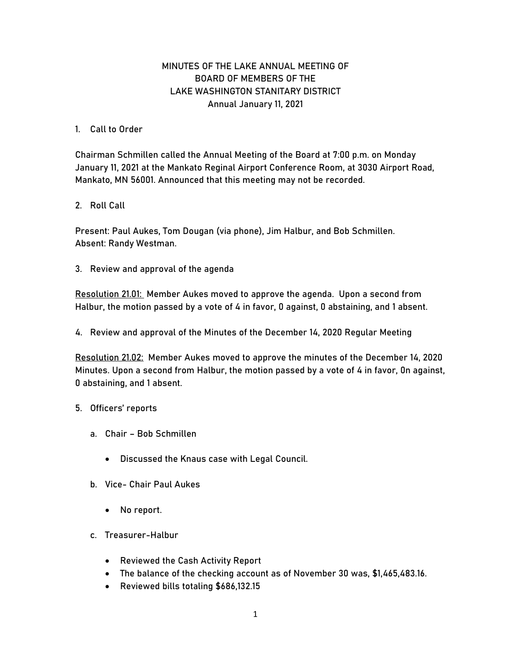## MINUTES OF THE LAKE ANNUAL MEETING OF BOARD OF MEMBERS OF THE LAKE WASHINGTON STANITARY DISTRICT Annual January 11, 2021

## 1. Call to Order

Chairman Schmillen called the Annual Meeting of the Board at 7:00 p.m. on Monday January 11, 2021 at the Mankato Reginal Airport Conference Room, at 3030 Airport Road, Mankato, MN 56001. Announced that this meeting may not be recorded.

## 2. Roll Call

Present: Paul Aukes, Tom Dougan (via phone), Jim Halbur, and Bob Schmillen. Absent: Randy Westman.

3. Review and approval of the agenda

Resolution 21.01: Member Aukes moved to approve the agenda. Upon a second from Halbur, the motion passed by a vote of 4 in favor, 0 against, 0 abstaining, and 1 absent.

4. Review and approval of the Minutes of the December 14, 2020 Regular Meeting

Resolution 21.02: Member Aukes moved to approve the minutes of the December 14, 2020 Minutes. Upon a second from Halbur, the motion passed by a vote of 4 in favor, 0n against, 0 abstaining, and 1 absent.

## 5. Officers' reports

- a. Chair Bob Schmillen
	- Discussed the Knaus case with Legal Council.
- b. Vice- Chair Paul Aukes
	- No report.
- c. Treasurer-Halbur
	- Reviewed the Cash Activity Report
	- The balance of the checking account as of November 30 was, \$1,465,483.16.
	- Reviewed bills totaling \$686,132.15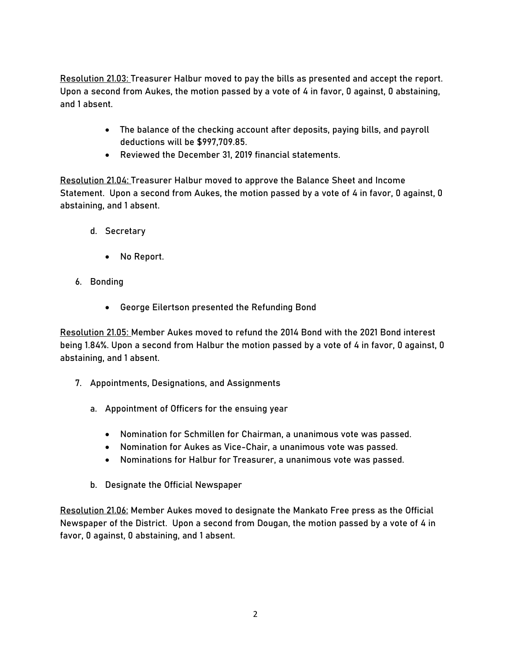Resolution 21.03: Treasurer Halbur moved to pay the bills as presented and accept the report. Upon a second from Aukes, the motion passed by a vote of 4 in favor, 0 against, 0 abstaining, and 1 absent.

- The balance of the checking account after deposits, paying bills, and payroll deductions will be \$997,709.85.
- Reviewed the December 31, 2019 financial statements.

Resolution 21.04: Treasurer Halbur moved to approve the Balance Sheet and Income Statement. Upon a second from Aukes, the motion passed by a vote of 4 in favor, 0 against, 0 abstaining, and 1 absent.

- d. Secretary
	- No Report.
- 6. Bonding
	- George Eilertson presented the Refunding Bond

Resolution 21.05: Member Aukes moved to refund the 2014 Bond with the 2021 Bond interest being 1.84%. Upon a second from Halbur the motion passed by a vote of 4 in favor, 0 against, 0 abstaining, and 1 absent.

- 7. Appointments, Designations, and Assignments
	- a. Appointment of Officers for the ensuing year
		- Nomination for Schmillen for Chairman, a unanimous vote was passed.
		- Nomination for Aukes as Vice-Chair, a unanimous vote was passed.
		- Nominations for Halbur for Treasurer, a unanimous vote was passed.
	- b. Designate the Official Newspaper

Resolution 21.06: Member Aukes moved to designate the Mankato Free press as the Official Newspaper of the District. Upon a second from Dougan, the motion passed by a vote of 4 in favor, 0 against, 0 abstaining, and 1 absent.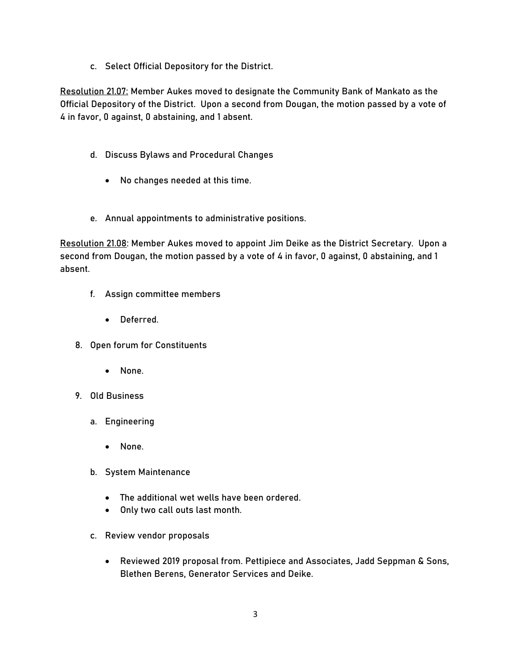c. Select Official Depository for the District.

Resolution 21.07: Member Aukes moved to designate the Community Bank of Mankato as the Official Depository of the District. Upon a second from Dougan, the motion passed by a vote of 4 in favor, 0 against, 0 abstaining, and 1 absent.

- d. Discuss Bylaws and Procedural Changes
	- No changes needed at this time.
- e. Annual appointments to administrative positions.

Resolution 21.08: Member Aukes moved to appoint Jim Deike as the District Secretary. Upon a second from Dougan, the motion passed by a vote of 4 in favor, 0 against, 0 abstaining, and 1 absent.

- f. Assign committee members
	- Deferred.
- 8. Open forum for Constituents
	- None.
- 9. Old Business
	- a. Engineering
		- None.
	- b. System Maintenance
		- The additional wet wells have been ordered.
		- Only two call outs last month.
	- c. Review vendor proposals
		- Reviewed 2019 proposal from. Pettipiece and Associates, Jadd Seppman & Sons, Blethen Berens, Generator Services and Deike.